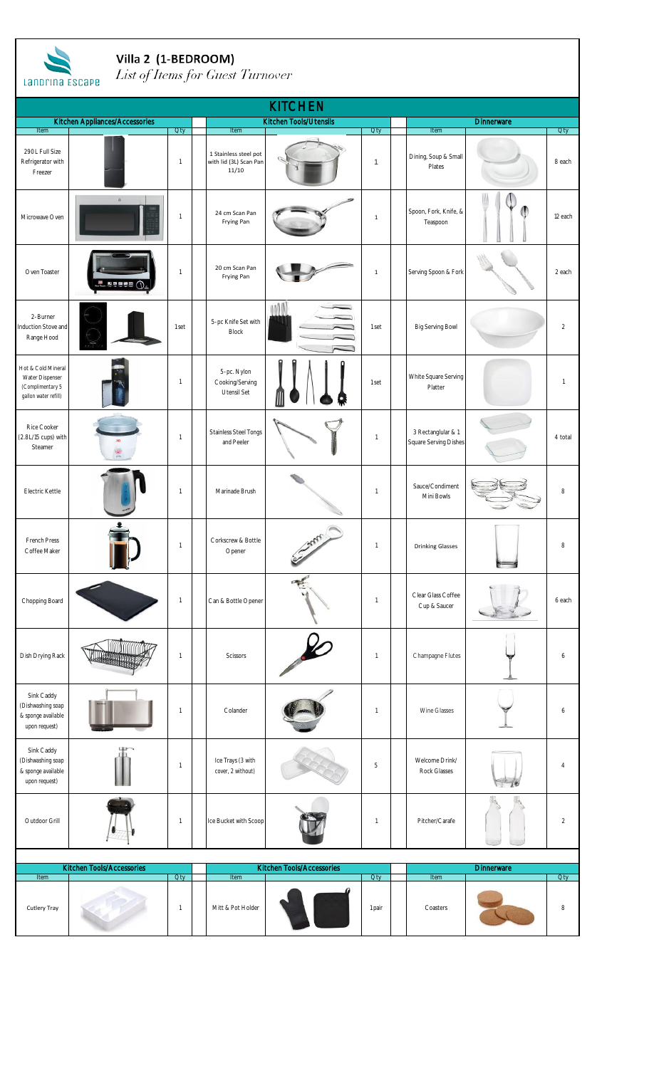

Villa 2 (1-BEDROOM)<br>List of Items for Guest Turnover

| <b>LAIDING ESLAPE</b>                                                             |                                |                          |  |                                                          |                               |                          |  |                                             |                   |                |  |  |
|-----------------------------------------------------------------------------------|--------------------------------|--------------------------|--|----------------------------------------------------------|-------------------------------|--------------------------|--|---------------------------------------------|-------------------|----------------|--|--|
| <b>KITCHEN</b>                                                                    |                                |                          |  |                                                          |                               |                          |  |                                             |                   |                |  |  |
| Item                                                                              | Kitchen Appliances/Accessories | <b>Oty</b>               |  | Item                                                     | <b>Kitchen Tools/Utensils</b> | Oty                      |  | Item                                        | <b>Dinnerware</b> | Oty            |  |  |
| 290L Full Size<br>Refrigerator with<br>Freezer                                    |                                | $\mathbf{1}$             |  | 1 Stainless steel pot<br>with lid (3L) Scan Pan<br>11/10 |                               | $\mathbf{1}$             |  | Dining, Soup & Small<br>Plates              |                   | 8 each         |  |  |
| Microwave Oven                                                                    | ö                              | $\mathbf{1}$             |  | 24 cm Scan Pan<br>Frying Pan                             |                               | $\mathbf{1}$             |  | Spoon, Fork, Knife, &<br>Teaspoon           |                   | 12 each        |  |  |
| Oven Toaster                                                                      | 医阴道区的                          | $\mathbf{1}$             |  | 20 cm Scan Pan<br>Frying Pan                             |                               | $\mathbf{1}$             |  | Serving Spoon & Fork                        |                   | 2 each         |  |  |
| 2-Burner<br>Induction Stove and<br>Range Hood                                     |                                | 1 set                    |  | 5-pc Knife Set with<br><b>Block</b>                      |                               | 1 set                    |  | Big Serving Bowl                            |                   | $\overline{2}$ |  |  |
| Hot & Cold Mineral<br>Water Dispenser<br>(Complimentary 5<br>gallon water refill) |                                | $\mathbf{1}$             |  | 5-pc. Nylon<br>Cooking/Serving<br>Utensil Set            |                               | 1 set                    |  | White Square Serving<br>Platter             |                   | $\overline{1}$ |  |  |
| Rice Cooker<br>(2.8L/15 cups) with<br>Steamer                                     |                                | $\mathbf{1}$             |  | <b>Stainless Steel Tongs</b><br>and Peeler               |                               | $\overline{1}$           |  | 3 Rectanglular & 1<br>Square Serving Dishes |                   | 4 total        |  |  |
| Electric Kettle                                                                   |                                | $\mathbf{1}$             |  | Marinade Brush                                           |                               | $\mathbf{1}$             |  | Sauce/Condiment<br>Mini Bowls               |                   | 8              |  |  |
| French Press<br>Coffee Maker                                                      |                                | $\mathbf{1}$             |  | Corkscrew & Bottle<br>Opener                             | <b>Controlling Control</b>    | $\mathbf{1}$             |  | <b>Drinking Glasses</b>                     |                   | 8              |  |  |
| Chopping Board                                                                    |                                | $\mathbf{1}$             |  | Can & Bottle Opener                                      |                               | $\overline{1}$           |  | Clear Glass Coffee<br>Cup & Saucer          |                   | 6 each         |  |  |
| Dish Drying Rack                                                                  |                                | $\mathbf{1}$             |  | Scissors                                                 |                               | $\mathbf{1}$             |  | Champagne Flutes                            |                   | 6              |  |  |
| Sink Caddy<br>(Dishwashing soap<br>& sponge available<br>upon request)            |                                | $\mathbf{1}$             |  | Colander                                                 |                               | $\mathbf{1}$             |  | Wine Glasses                                |                   | 6              |  |  |
| Sink Caddy<br>(Dishwashing soap<br>& sponge available<br>upon request)            |                                | $\mathbf{1}$             |  | Ice Trays (3 with<br>cover, 2 without)                   |                               | 5                        |  | Welcome Drink/<br>Rock Glasses              |                   | $\overline{4}$ |  |  |
| Outdoor Grill                                                                     |                                | $\overline{\phantom{a}}$ |  | Ice Bucket with Scoop                                    |                               | $\overline{\phantom{a}}$ |  | Pitcher/Carafe                              |                   | $\overline{2}$ |  |  |
| Kitchen Tools/Accessories<br>Kitchen Tools/Accessories                            |                                |                          |  |                                                          |                               |                          |  |                                             |                   |                |  |  |
| Item                                                                              |                                | <b>Oty</b>               |  | Item                                                     |                               | <b>Oty</b>               |  | Item                                        | <b>Dinnerware</b> | Qty            |  |  |
| Cutlery Tray                                                                      |                                | $\mathbf{1}$             |  | Mitt & Pot Holder                                        |                               | 1 pair                   |  | Coasters                                    |                   | 8              |  |  |